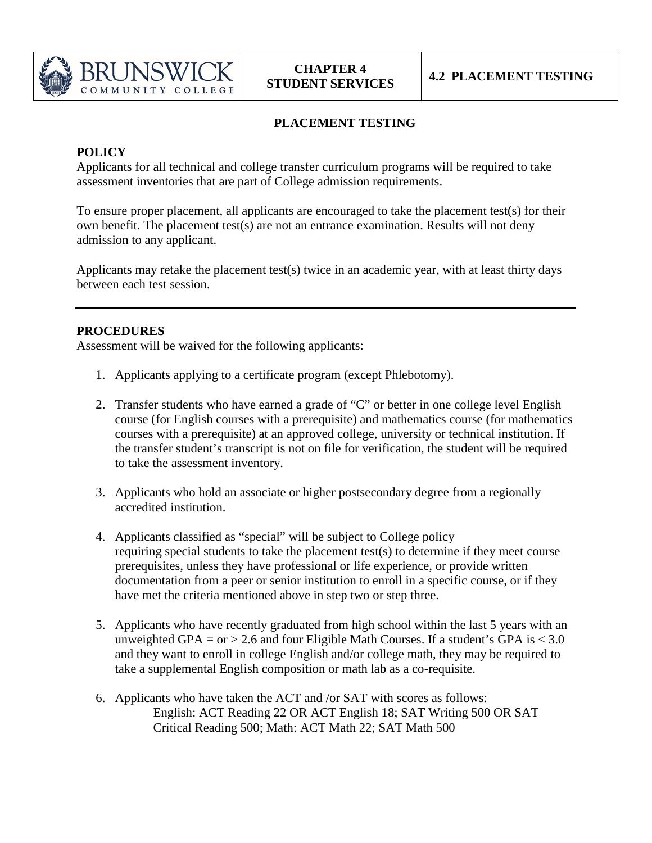

## **PLACEMENT TESTING**

## **POLICY**

Applicants for all technical and college transfer curriculum programs will be required to take assessment inventories that are part of College admission requirements.

To ensure proper placement, all applicants are encouraged to take the placement test(s) for their own benefit. The placement test(s) are not an entrance examination. Results will not deny admission to any applicant.

Applicants may retake the placement test(s) twice in an academic year, with at least thirty days between each test session.

## **PROCEDURES**

Assessment will be waived for the following applicants:

- 1. Applicants applying to a certificate program (except Phlebotomy).
- 2. Transfer students who have earned a grade of "C" or better in one college level English course (for English courses with a prerequisite) and mathematics course (for mathematics courses with a prerequisite) at an approved college, university or technical institution. If the transfer student's transcript is not on file for verification, the student will be required to take the assessment inventory.
- 3. Applicants who hold an associate or higher postsecondary degree from a regionally accredited institution.
- 4. Applicants classified as "special" will be subject to College policy requiring special students to take the placement test(s) to determine if they meet course prerequisites, unless they have professional or life experience, or provide written documentation from a peer or senior institution to enroll in a specific course, or if they have met the criteria mentioned above in step two or step three.
- 5. Applicants who have recently graduated from high school within the last 5 years with an unweighted GPA = or > 2.6 and four Eligible Math Courses. If a student's GPA is  $< 3.0$ and they want to enroll in college English and/or college math, they may be required to take a supplemental English composition or math lab as a co-requisite.
- 6. Applicants who have taken the ACT and /or SAT with scores as follows: English: ACT Reading 22 OR ACT English 18; SAT Writing 500 OR SAT Critical Reading 500; Math: ACT Math 22; SAT Math 500